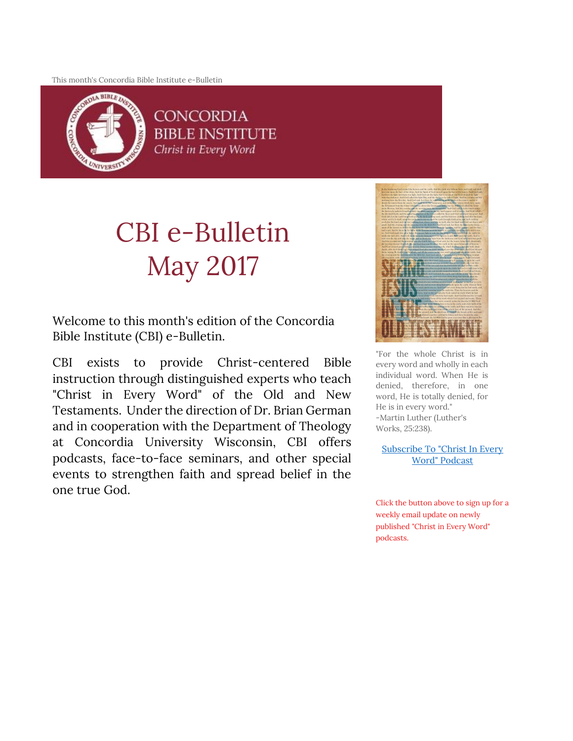This month's Concordia Bible Institute e-Bulletin



**CONCORDIA BIBLE INSTITUTE** Christ in Every Word

# CBI e-Bulletin May 2017

Welcome to this month's edition of the Concordia Bible Institute (CBI) e-Bulletin.

CBI exists to provide Christ-centered Bible instruction through distinguished experts who teach "Christ in Every Word" of the Old and New Testaments. Under the direction of Dr. Brian German and in cooperation with the Department of Theology at Concordia University Wisconsin, CBI offers podcasts, face-to-face seminars, and other special events to strengthen faith and spread belief in the one true God.



"For the whole Christ is in every word and wholly in each individual word. When He is denied, therefore, in one word, He is totally denied, for He is in every word." -Martin Luther (Luther's Works, 25:238).

[Subscribe To "Christ In Every](http://subscribebyemail.com/www.concordiabible.org/feed/podcast/)  [Word" Podcast](http://subscribebyemail.com/www.concordiabible.org/feed/podcast/)

Click the button above to sign up for a weekly email update on newly published "Christ in Every Word" podcasts.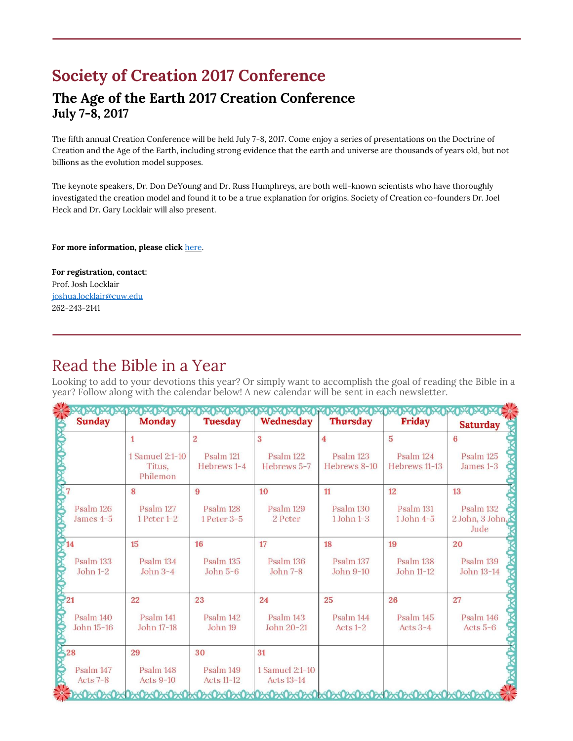# **Society of Creation 2017 Conference**

### **The Age of the Earth 2017 Creation Conference July 7-8, 2017**

The fifth annual Creation Conference will be held July 7-8, 2017. Come enjoy a series of presentations on the Doctrine of Creation and the Age of the Earth, including strong evidence that the earth and universe are thousands of years old, but not billions as the evolution model supposes.

The keynote speakers, Dr. Don DeYoung and Dr. Russ Humphreys, are both well-known scientists who have thoroughly investigated the creation model and found it to be a true explanation for origins. Society of Creation co-founders Dr. Joel Heck and Dr. Gary Locklair will also present.

For more information, please click [here.](http://www.societyofcreation.org/conferences.php)

**For registration, contact:** Prof. Josh Locklair [joshua.locklair@cuw.edu](mailto:joshua.locklair@cuw.edu?subject=Society%20of%20Creation%20Conference) 262-243-2141

## Read the Bible in a Year

Looking to add to your devotions this year? Or simply want to accomplish the goal of reading the Bible in a year? Follow along with the calendar below! A new calendar will be sent in each newsletter.

| <b>KIDRIDAD</b><br><b>Sunday</b> | <b>DEDEDEDED</b><br><b>Monday</b>     | 19402402402<br><b>Tuesday</b>  | <b>PACPACPACPACP</b><br>Wednesday    | <b>Thursday</b>             | <b>Friday</b>               | <b>Saturday</b>                        |
|----------------------------------|---------------------------------------|--------------------------------|--------------------------------------|-----------------------------|-----------------------------|----------------------------------------|
|                                  | $\mathbf{1}$                          | $\overline{2}$                 | 3                                    | 4                           | $\overline{5}$              | 6                                      |
|                                  | 1 Samuel 2:1-10<br>Titus,<br>Philemon | Psalm 121<br>Hebrews 1-4       | Psalm 122<br>Hebrews 5-7             | Psalm 123<br>Hebrews 8-10   | Psalm 124<br>Hebrews 11-13  | Psalm 125<br>James 1-3                 |
|                                  | 8                                     | 9                              | 10                                   | 11                          | 12                          | 13                                     |
| Psalm 126<br>James 4-5           | Psalm 127<br>1 Peter 1-2              | Psalm 128<br>1 Peter 3-5       | Psalm 129<br>2 Peter                 | Psalm 130<br>$1$ John $1-3$ | Psalm 131<br>$1$ John $4-5$ | Psalm 132<br>2 John, 3 John, S<br>Jude |
| 14                               | 15                                    | 16                             | 17                                   | 18                          | 19                          | 20                                     |
| Psalm 133<br>John 1-2            | Psalm 134<br>John $3-4$               | Psalm 135<br>John $5-6$        | Psalm 136<br>John 7-8                | Psalm 137<br>John 9-10      | Psalm 138<br>John 11-12     | Psalm 139<br>John 13-14                |
| $\mathbf{\odot}21$               | 22                                    | 23                             | 24                                   | 25                          | 26                          | 27                                     |
| Psalm 140<br>John 15-16          | Psalm 141<br>John 17-18               | Psalm 142<br>John 19           | Psalm 143<br>John 20-21              | Psalm 144<br>Acts $1-2$     | Psalm 145<br>Acts $3-4$     | Psalm 146<br>Acts $5-6$                |
| 328                              | 29                                    | 30                             | 31                                   |                             |                             |                                        |
| Psalm 147<br>Acts $7-8$          | Psalm 148<br><b>Acts 9-10</b>         | Psalm 149<br><b>Acts 11-12</b> | 1 Samuel 2:1-10<br><b>Acts 13-14</b> |                             |                             |                                        |
|                                  |                                       |                                |                                      |                             |                             |                                        |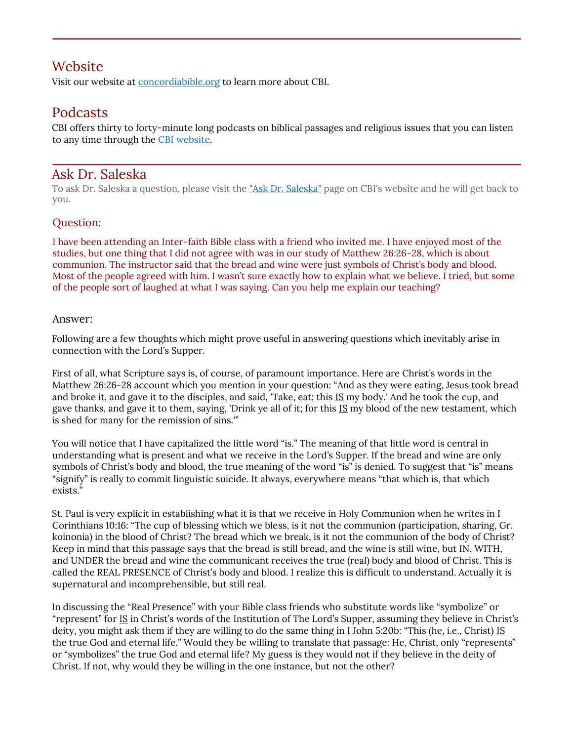### Website

Visit our website at **concordiabible.org** to learn more about CBI.

## Podcasts

CBI offers thirty to forty-minute long podcasts on biblical passages and religious issues that you can listen to any time through the [CBI website.](http://www.concordiabible.org/category/podcasts/) 

#### Ask Dr. Saleska

To ask Dr. Saleska a question, please visit the ["Ask Dr. Saleska"](http://www.concordiabible.org/ask-dr-saleska/) page on CBI's website and he will get back to you.

#### Question:

I have been attending an Inter-faith Bible class with a friend who invited me. I have enjoyed most of the studies, but one thing that I did not agree with was in our study of Matthew 26:26-28, which is about communion. The instructor said that the bread and wine were just symbols of Christ's body and blood. Most of the people agreed with him. I wasn't sure exactly how to explain what we believe. I tried, but some of the people sort of laughed at what I was saying. Can you help me explain our teaching?

#### Answer:

Following are a few thoughts which might prove useful in answering questions which inevitably arise in connection with the Lord's Supper.

First of all, what Scripture says is, of course, of paramount importance. Here are Christ's words in the Matthew 26:26-28 account which you mention in your question: "And as they were eating, Jesus took bread and broke it, and gave it to the disciples, and said, 'Take, eat; this IS my body.' And he took the cup, and gave thanks, and gave it to them, saying, 'Drink ye all of it; for this IS my blood of the new testament, which is shed for many for the remission of sins.'"

You will notice that I have capitalized the little word "is." The meaning of that little word is central in understanding what is present and what we receive in the Lord's Supper. If the bread and wine are only symbols of Christ's body and blood, the true meaning of the word "is" is denied. To suggest that "is" means "signify" is really to commit linguistic suicide. It always, everywhere means "that which is, that which exists."

St. Paul is very explicit in establishing what it is that we receive in Holy Communion when he writes in I Corinthians 10:16: "The cup of blessing which we bless, is it not the communion (participation, sharing, Gr. koinonia) in the blood of Christ? The bread which we break, is it not the communion of the body of Christ? Keep in mind that this passage says that the bread is still bread, and the wine is still wine, but IN, WITH, and UNDER the bread and wine the communicant receives the true (real) body and blood of Christ. This is called the REAL PRESENCE of Christ's body and blood. I realize this is difficult to understand. Actually it is supernatural and incomprehensible, but still real.

In discussing the "Real Presence" with your Bible class friends who substitute words like "symbolize" or "represent" for IS in Christ's words of the Institution of The Lord's Supper, assuming they believe in Christ's deity, you might ask them if they are willing to do the same thing in I John 5:20b: "This (he, i.e., Christ) IS the true God and eternal life." Would they be willing to translate that passage: He, Christ, only "represents" or "symbolizes" the true God and eternal life? My guess is they would not if they believe in the deity of Christ. If not, why would they be willing in the one instance, but not the other?